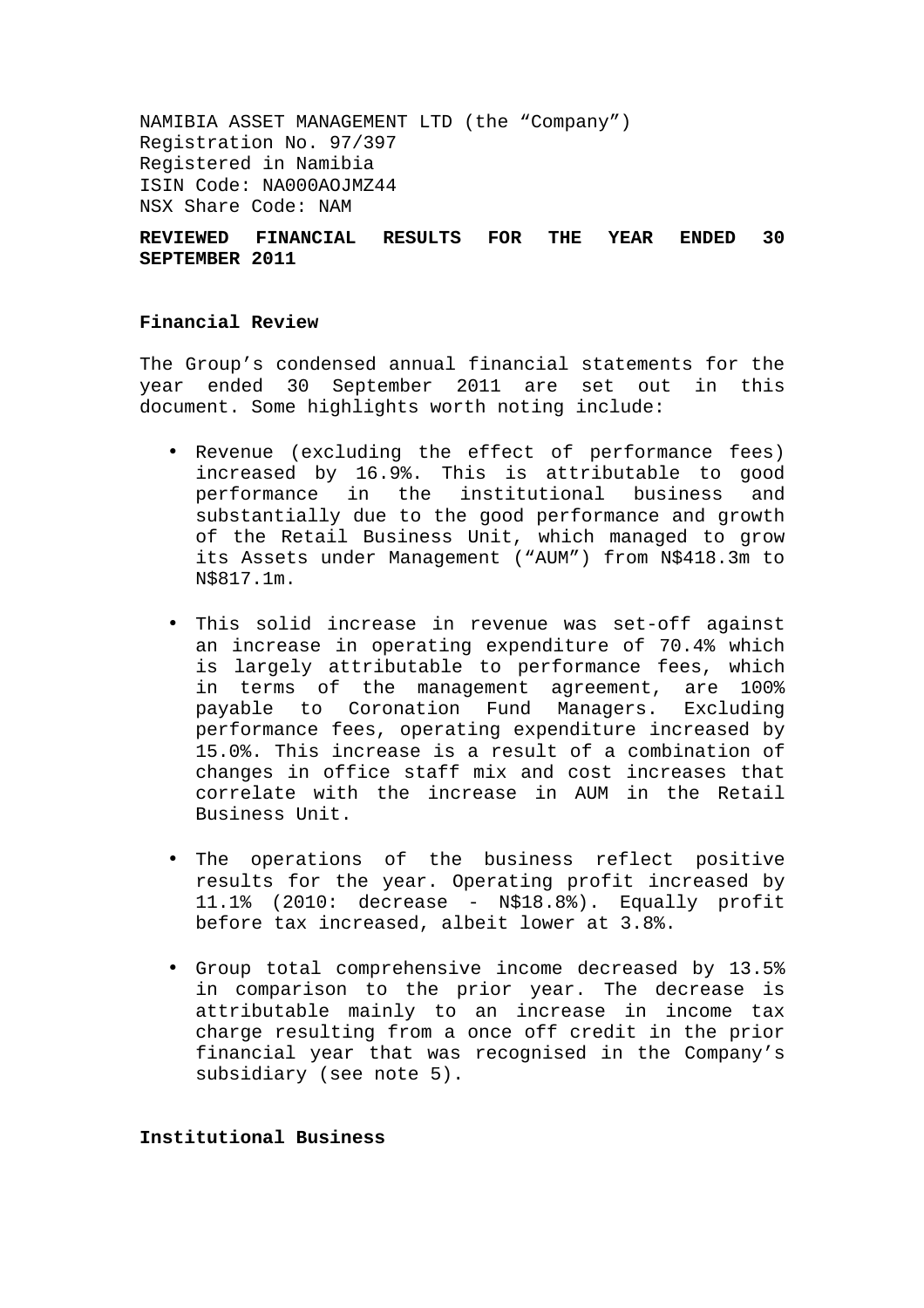NAMIBIA ASSET MANAGEMENT LTD (the "Company") Registration No. 97/397 Registered in Namibia ISIN Code: NA000AOJMZ44 NSX Share Code: NAM

# **REVIEWED FINANCIAL RESULTS FOR THE YEAR ENDED 30 SEPTEMBER 2011**

# **Financial Review**

The Group's condensed annual financial statements for the year ended 30 September 2011 are set out in this document. Some highlights worth noting include:

- Revenue (excluding the effect of performance fees) increased by 16.9%. This is attributable to good performance in the institutional business and substantially due to the good performance and growth of the Retail Business Unit, which managed to grow its Assets under Management ("AUM") from N\$418.3m to N\$817.1m.
- This solid increase in revenue was set-off against an increase in operating expenditure of 70.4% which is largely attributable to performance fees, which in terms of the management agreement, are 100% payable to Coronation Fund Managers. Excluding performance fees, operating expenditure increased by 15.0%. This increase is a result of a combination of changes in office staff mix and cost increases that correlate with the increase in AUM in the Retail Business Unit.
- The operations of the business reflect positive results for the year. Operating profit increased by 11.1% (2010: decrease - N\$18.8%). Equally profit before tax increased, albeit lower at 3.8%.
- Group total comprehensive income decreased by 13.5% in comparison to the prior year. The decrease is attributable mainly to an increase in income tax charge resulting from a once off credit in the prior financial year that was recognised in the Company's subsidiary (see note 5).

### **Institutional Business**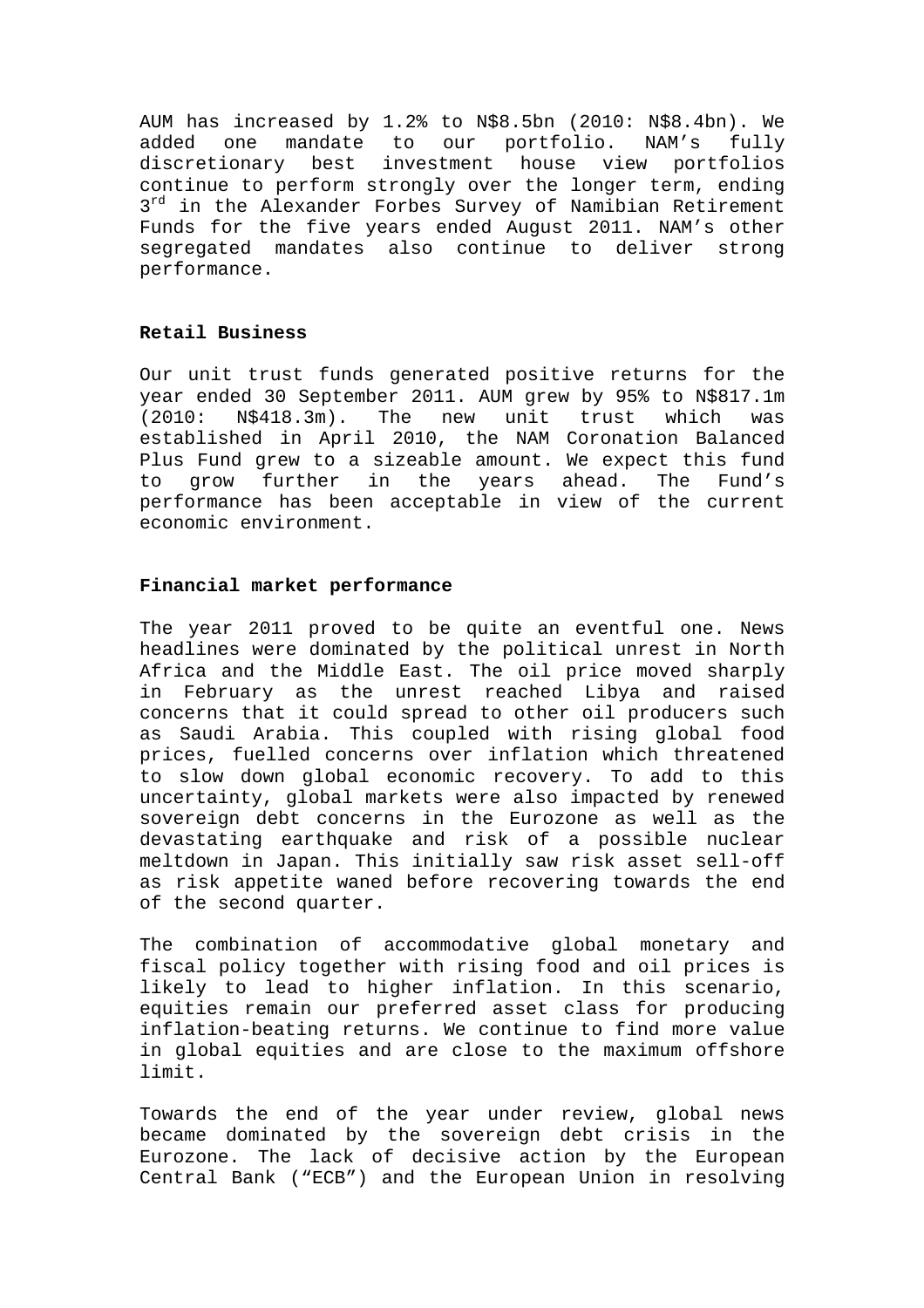AUM has increased by 1.2% to N\$8.5bn (2010: N\$8.4bn). We added one mandate to our portfolio. NAM's fully discretionary best investment house view portfolios continue to perform strongly over the longer term, ending  $3^{rd}$  in the Alexander Forbes Survey of Namibian Retirement Funds for the five years ended August 2011. NAM's other segregated mandates also continue to deliver strong performance.

### **Retail Business**

Our unit trust funds generated positive returns for the year ended 30 September 2011. AUM grew by 95% to N\$817.1m (2010: N\$418.3m). The new unit trust which was established in April 2010, the NAM Coronation Balanced Plus Fund grew to a sizeable amount. We expect this fund to grow further in the years ahead. The Fund's performance has been acceptable in view of the current economic environment.

### **Financial market performance**

The year 2011 proved to be quite an eventful one. News headlines were dominated by the political unrest in North Africa and the Middle East. The oil price moved sharply in February as the unrest reached Libya and raised concerns that it could spread to other oil producers such as Saudi Arabia. This coupled with rising global food prices, fuelled concerns over inflation which threatened to slow down global economic recovery. To add to this uncertainty, global markets were also impacted by renewed sovereign debt concerns in the Eurozone as well as the devastating earthquake and risk of a possible nuclear meltdown in Japan. This initially saw risk asset sell-off as risk appetite waned before recovering towards the end of the second quarter.

The combination of accommodative global monetary and fiscal policy together with rising food and oil prices is likely to lead to higher inflation. In this scenario, equities remain our preferred asset class for producing inflation-beating returns. We continue to find more value in global equities and are close to the maximum offshore limit.

Towards the end of the year under review, global news became dominated by the sovereign debt crisis in the Eurozone. The lack of decisive action by the European Central Bank ("ECB") and the European Union in resolving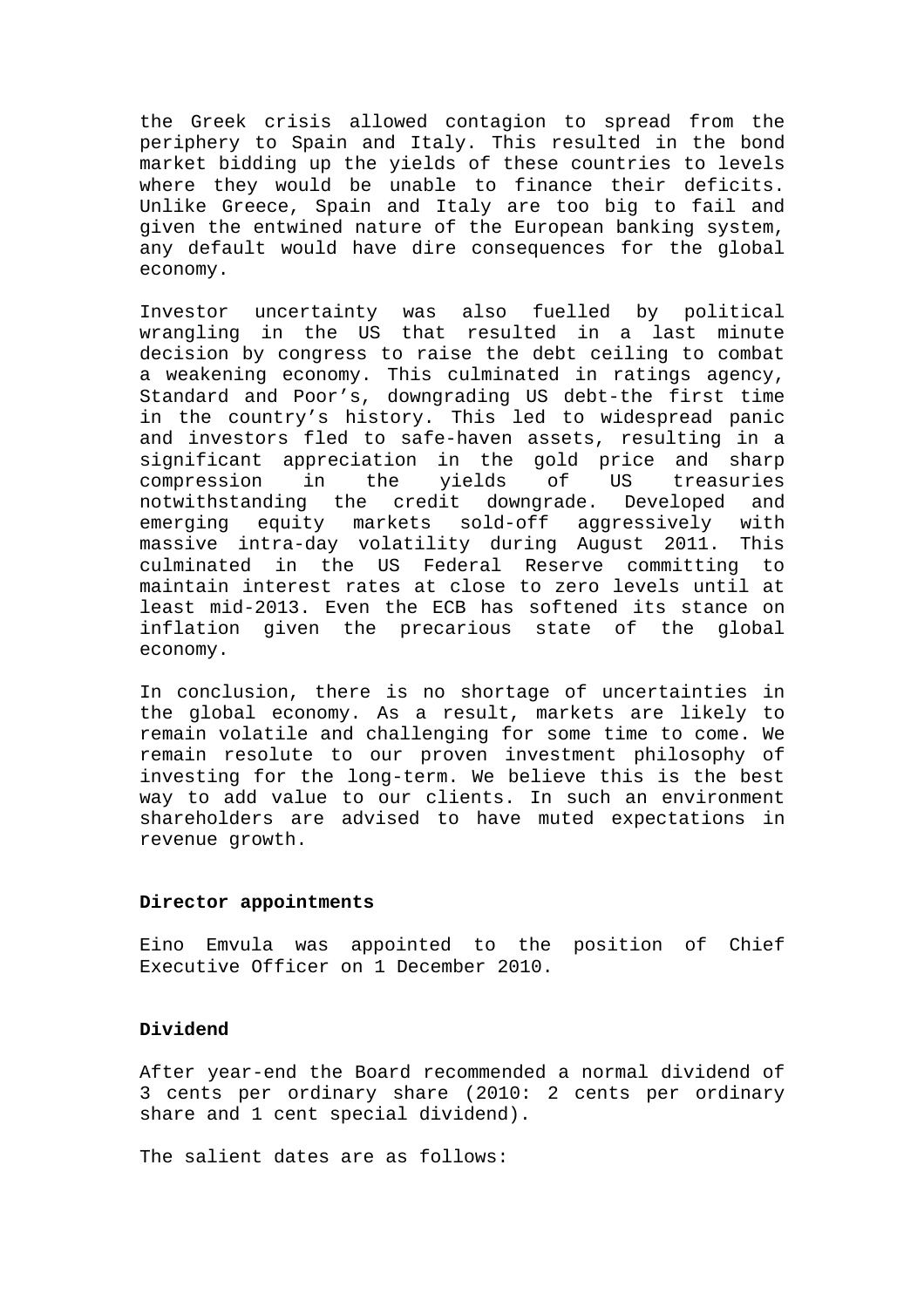the Greek crisis allowed contagion to spread from the periphery to Spain and Italy. This resulted in the bond market bidding up the yields of these countries to levels where they would be unable to finance their deficits. Unlike Greece, Spain and Italy are too big to fail and given the entwined nature of the European banking system, any default would have dire consequences for the global economy.

Investor uncertainty was also fuelled by political wrangling in the US that resulted in a last minute decision by congress to raise the debt ceiling to combat a weakening economy. This culminated in ratings agency, Standard and Poor's, downgrading US debt-the first time in the country's history. This led to widespread panic and investors fled to safe-haven assets, resulting in a significant appreciation in the gold price and sharp compression in the yields of US treasuries notwithstanding the credit downgrade. Developed and emerging equity markets sold-off aggressively with massive intra-day volatility during August 2011. This culminated in the US Federal Reserve committing to maintain interest rates at close to zero levels until at least mid-2013. Even the ECB has softened its stance on inflation given the precarious state of the global economy.

In conclusion, there is no shortage of uncertainties in the global economy. As a result, markets are likely to remain volatile and challenging for some time to come. We remain resolute to our proven investment philosophy of investing for the long-term. We believe this is the best way to add value to our clients. In such an environment shareholders are advised to have muted expectations in revenue growth.

#### **Director appointments**

Eino Emvula was appointed to the position of Chief Executive Officer on 1 December 2010.

# **Dividend**

After year-end the Board recommended a normal dividend of 3 cents per ordinary share (2010: 2 cents per ordinary share and 1 cent special dividend).

The salient dates are as follows: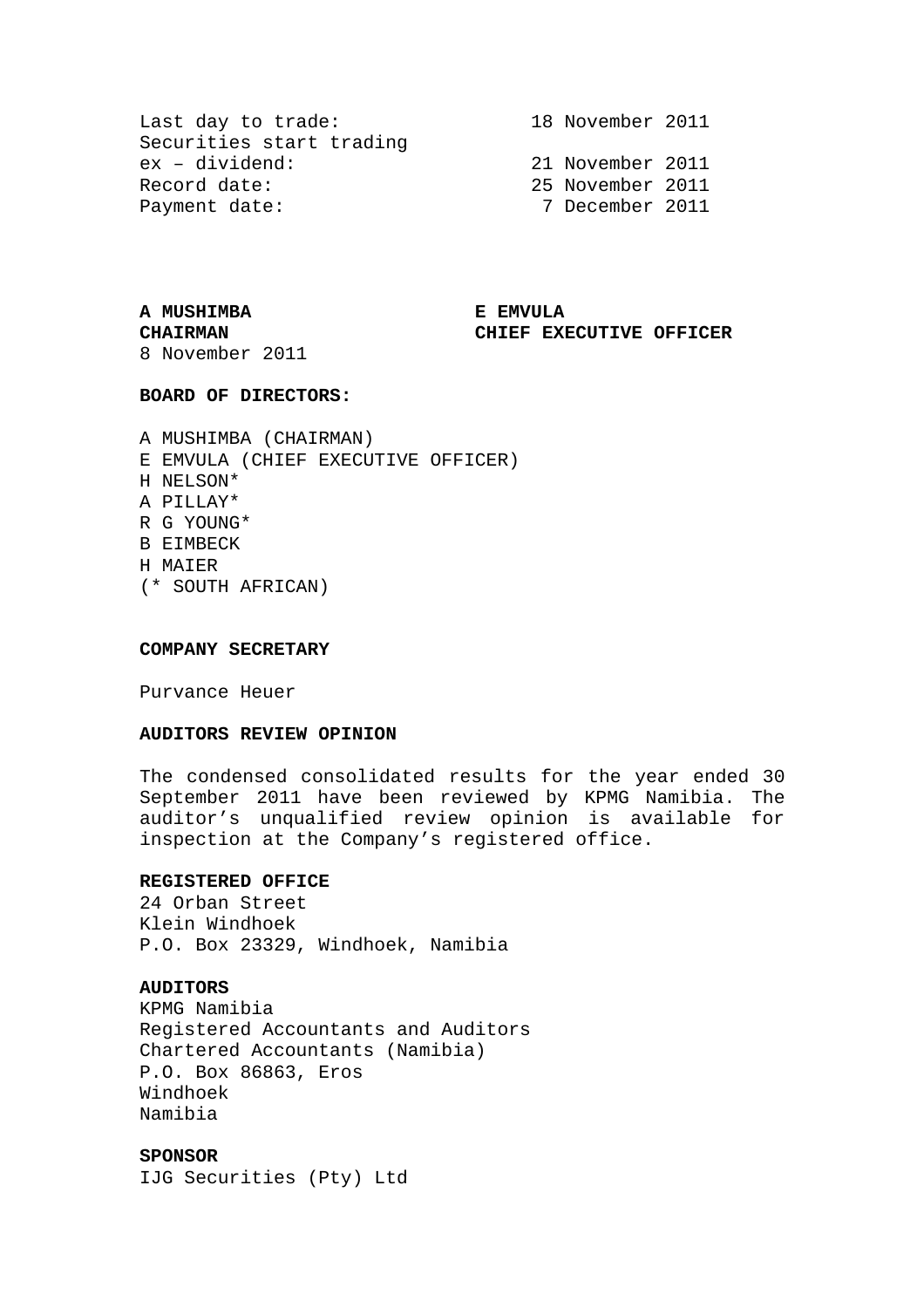Last day to trade: 18 November 2011 Securities start trading ex – dividend: 21 November 2011 Record date: 2011 25 November 2011 Payment date: 7 December 2011

# **A MUSHIMBA E EMVULA**

**CHAIRMAN CHIEF EXECUTIVE OFFICER** 

8 November 2011

#### **BOARD OF DIRECTORS:**

A MUSHIMBA (CHAIRMAN) E EMVULA (CHIEF EXECUTIVE OFFICER) H NELSON\* A PILLAY\* R G YOUNG\* B EIMBECK H MAIER (\* SOUTH AFRICAN)

#### **COMPANY SECRETARY**

Purvance Heuer

# **AUDITORS REVIEW OPINION**

The condensed consolidated results for the year ended 30 September 2011 have been reviewed by KPMG Namibia. The auditor's unqualified review opinion is available for inspection at the Company's registered office.

### **REGISTERED OFFICE**

24 Orban Street Klein Windhoek P.O. Box 23329, Windhoek, Namibia

### **AUDITORS**

KPMG Namibia Registered Accountants and Auditors Chartered Accountants (Namibia) P.O. Box 86863, Eros Windhoek Namibia

**SPONSOR**  IJG Securities (Pty) Ltd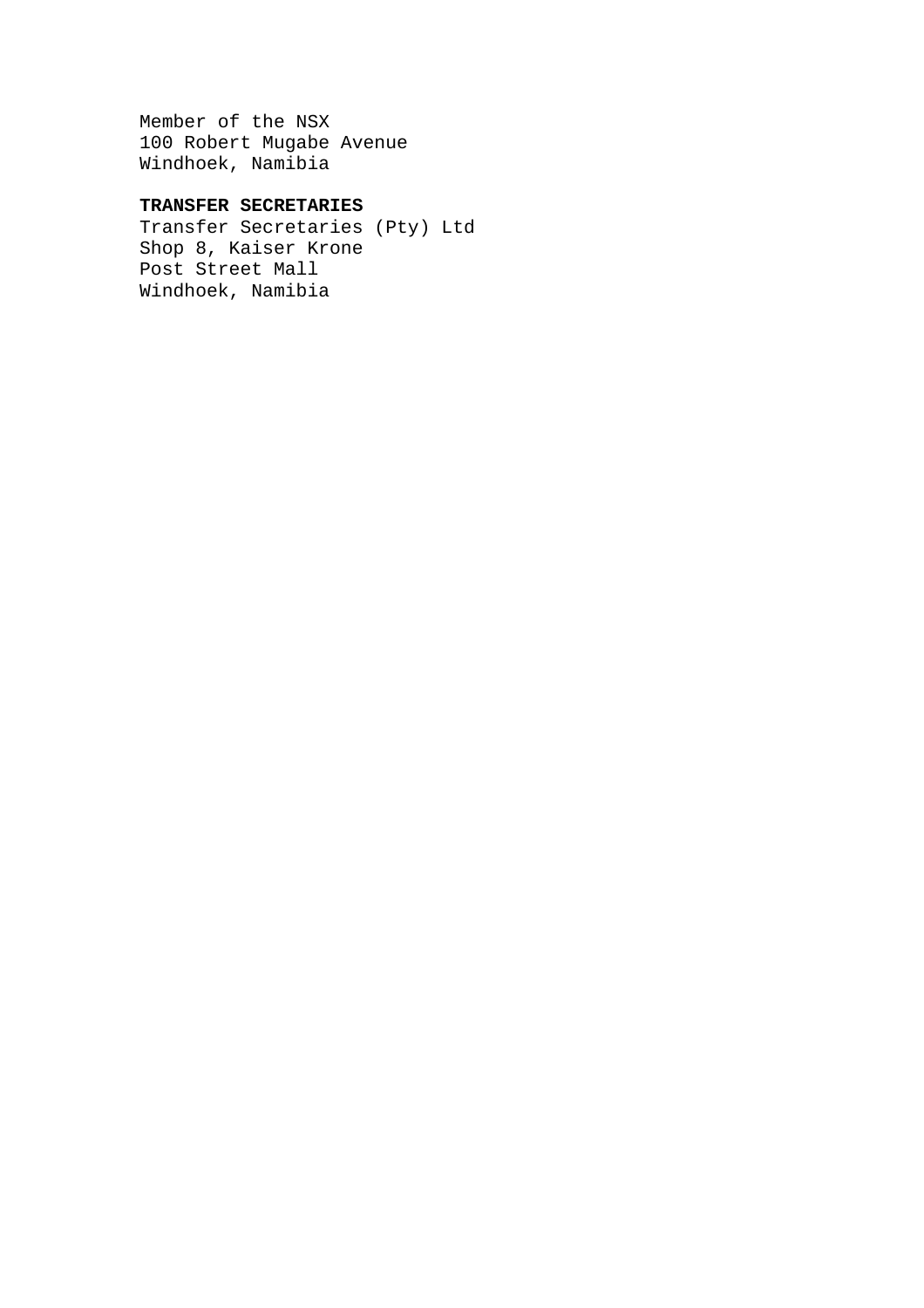Member of the NSX 100 Robert Mugabe Avenue Windhoek, Namibia

# **TRANSFER SECRETARIES**

Transfer Secretaries (Pty) Ltd Shop 8, Kaiser Krone Post Street Mall Windhoek, Namibia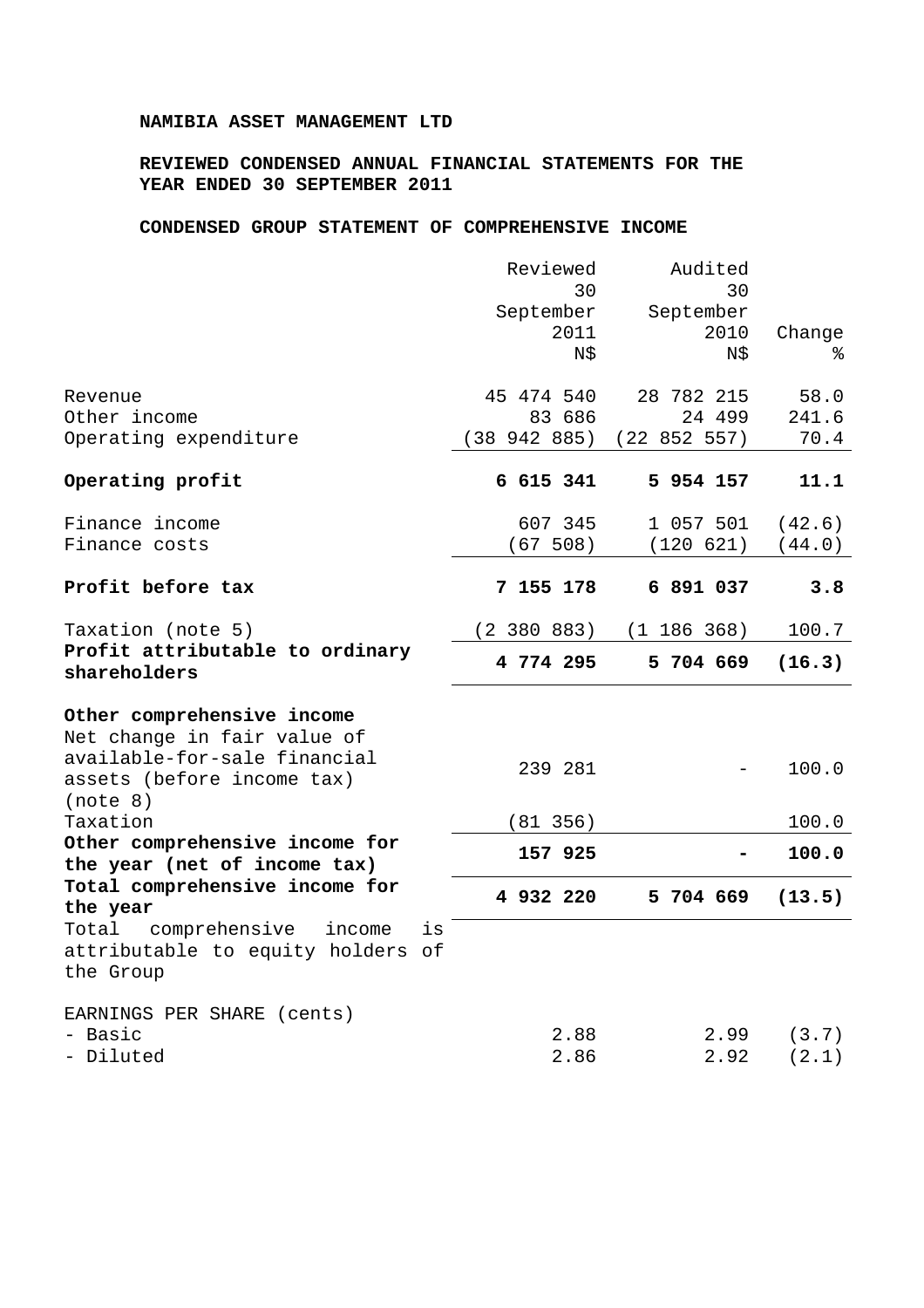### **NAMIBIA ASSET MANAGEMENT LTD**

# **REVIEWED CONDENSED ANNUAL FINANCIAL STATEMENTS FOR THE YEAR ENDED 30 SEPTEMBER 2011**

### **CONDENSED GROUP STATEMENT OF COMPREHENSIVE INCOME**

|                                                                                                                         | Reviewed<br>30<br>September<br>2011<br>N\$ | Audited<br>30<br>September<br>2010<br>N\$ | Change<br>⊱      |
|-------------------------------------------------------------------------------------------------------------------------|--------------------------------------------|-------------------------------------------|------------------|
| Revenue<br>Other income                                                                                                 | 45 474 540<br>83 686                       | 28 782 215<br>24 499                      | 58.0<br>241.6    |
| Operating expenditure                                                                                                   | (38942885)                                 | (22 852 557)                              | 70.4             |
| Operating profit                                                                                                        | 6 615 341                                  | 5 954 157                                 | 11.1             |
| Finance income<br>Finance costs                                                                                         | 607 345<br>(67 508)                        | 1 057 501<br>(120 621)                    | (42.6)<br>(44.0) |
| Profit before tax                                                                                                       | 7 155 178                                  | 6 891 037                                 | 3.8              |
| Taxation (note 5)                                                                                                       | (2 380 883)                                | (1 186 368)                               | 100.7            |
| Profit attributable to ordinary<br>shareholders                                                                         | 4 774 295                                  | 5 704 669                                 | (16.3)           |
| Other comprehensive income<br>Net change in fair value of<br>available-for-sale financial<br>assets (before income tax) | 239 281                                    |                                           | 100.0            |
| (note 8)<br>Taxation                                                                                                    | (81 356)                                   |                                           | 100.0            |
| Other comprehensive income for<br>the year (net of income tax)                                                          | 157 925                                    |                                           | 100.0            |
| Total comprehensive income for<br>the year                                                                              | 4 932 220                                  | 5 704 669                                 | (13.5)           |
| Total<br>comprehensive<br>income<br>is<br>attributable to equity holders of<br>the Group                                |                                            |                                           |                  |
| EARNINGS PER SHARE (cents)<br>- Basic<br>- Diluted                                                                      | 2.88<br>2.86                               | 2.99<br>2.92                              | (3.7)<br>(2.1)   |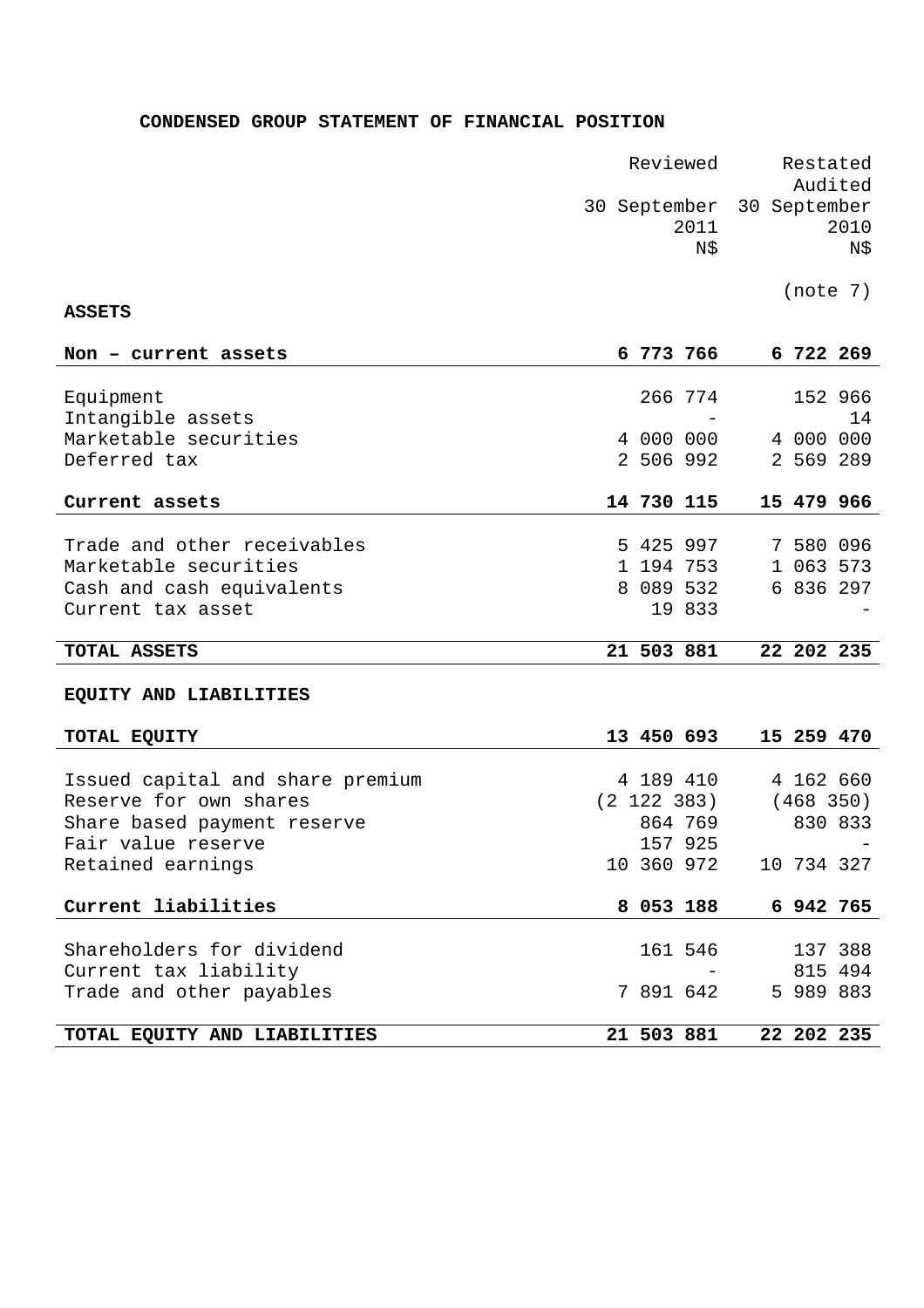# **CONDENSED GROUP STATEMENT OF FINANCIAL POSITION**

|                                                    | Reviewed                    |            |                        |                             | Restated<br>Audited    |                    |  |
|----------------------------------------------------|-----------------------------|------------|------------------------|-----------------------------|------------------------|--------------------|--|
|                                                    | 30 September<br>2011<br>N\$ |            |                        | 30 September<br>2010<br>N\$ |                        |                    |  |
| <b>ASSETS</b>                                      |                             |            |                        |                             | (note 7)               |                    |  |
|                                                    |                             |            |                        |                             |                        |                    |  |
| Non - current assets                               |                             |            | 6 773 766              |                             | 6 722 269              |                    |  |
| Equipment                                          |                             |            | 266 774                |                             |                        | 152 966            |  |
| Intangible assets                                  |                             |            |                        |                             |                        | 14                 |  |
| Marketable securities                              |                             |            | 4 000 000              |                             | 4 000 000              |                    |  |
| Deferred tax                                       |                             |            | 2 506 992              |                             | 2 569 289              |                    |  |
| Current assets                                     |                             |            | 14 730 115             |                             | 15 479 966             |                    |  |
|                                                    |                             |            |                        |                             |                        |                    |  |
| Trade and other receivables                        |                             |            | 5 425 997              |                             | 7 580 096              |                    |  |
| Marketable securities<br>Cash and cash equivalents |                             |            | 1 194 753<br>8 089 532 |                             | 1 063 573<br>6 836 297 |                    |  |
| Current tax asset                                  |                             |            | 19 833                 |                             |                        |                    |  |
|                                                    |                             |            |                        |                             |                        |                    |  |
| TOTAL ASSETS                                       |                             | 21 503 881 |                        |                             |                        | 22 202 235         |  |
| EQUITY AND LIABILITIES                             |                             |            |                        |                             |                        |                    |  |
| TOTAL EQUITY                                       |                             |            | 13 450 693             |                             | 15 259 470             |                    |  |
| Issued capital and share premium                   |                             |            | 4 189 410              |                             | 4 162 660              |                    |  |
| Reserve for own shares                             |                             |            | $(2\ 122\ 383)$        |                             | (468 350)              |                    |  |
| Share based payment reserve                        |                             |            | 864 769                |                             |                        | 830 833            |  |
| Fair value reserve                                 |                             |            | 157 925                |                             |                        |                    |  |
| Retained earnings                                  |                             |            | 10 360 972             |                             | 10 734 327             |                    |  |
| Current liabilities                                |                             |            | 8 053 188              |                             |                        | 6 942 765          |  |
|                                                    |                             |            |                        |                             |                        |                    |  |
| Shareholders for dividend<br>Current tax liability |                             |            | 161 546                |                             |                        | 137 388<br>815 494 |  |
| Trade and other payables                           |                             |            | 7 891 642              |                             | 5 989 883              |                    |  |
|                                                    |                             |            |                        |                             |                        |                    |  |
| TOTAL EQUITY AND LIABILITIES                       |                             |            | 21 503 881             |                             |                        | 22 202 235         |  |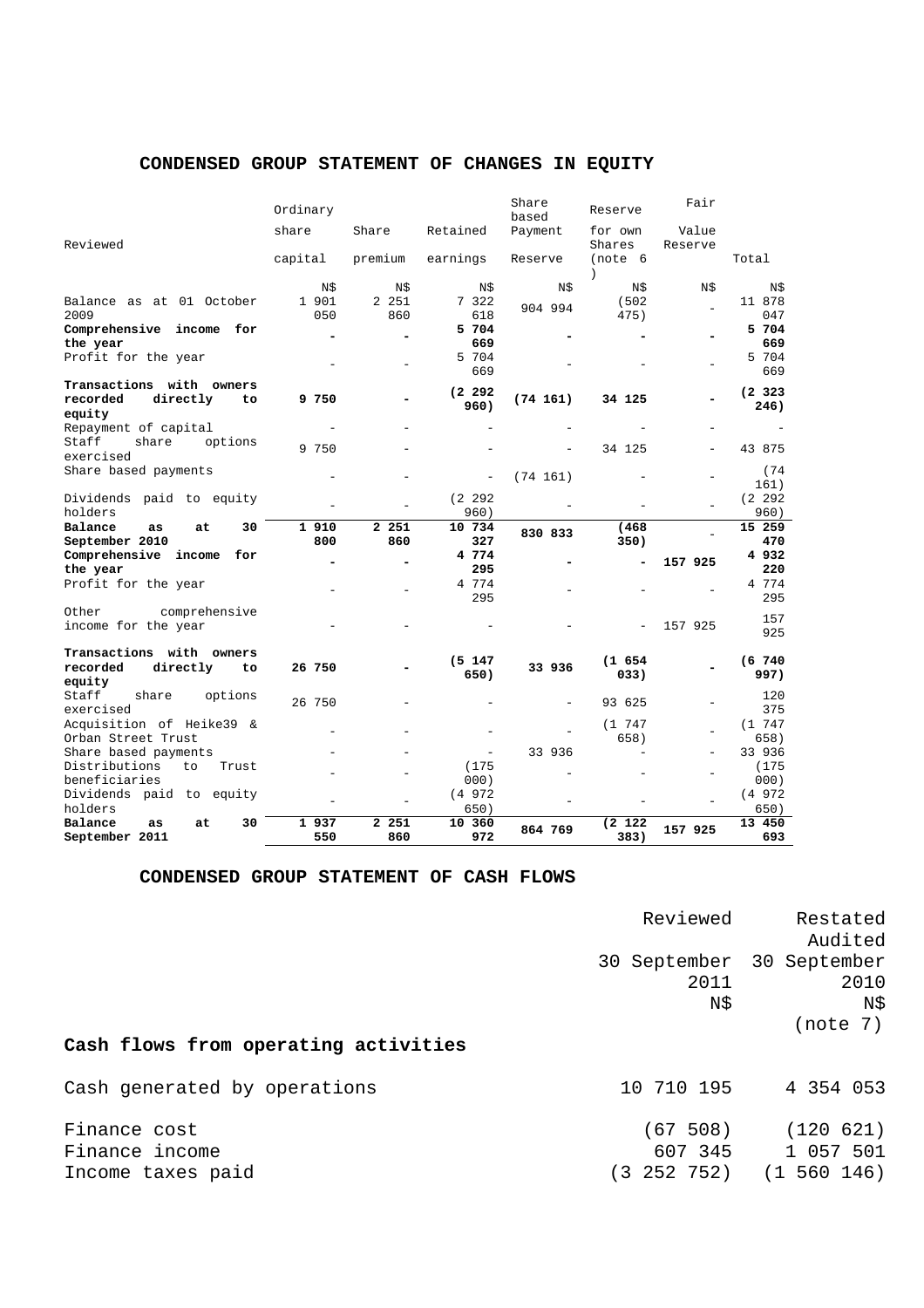|                                             | Ordinary    |              |                | Share<br>based | Reserve              | Fair             |                |
|---------------------------------------------|-------------|--------------|----------------|----------------|----------------------|------------------|----------------|
| Reviewed                                    | share       | Share        | Retained       | Payment        | for own<br>Shares    | Value<br>Reserve |                |
|                                             | capital     | premium      | earnings       | Reserve        | (note 6<br>$\lambda$ |                  | Total          |
|                                             | N\$         | N\$          | N\$            | N\$            | N\$                  | N\$              | N\$            |
| Balance as at 01 October                    | 1 901       | 2 251        | 7 322          | 904 994        | (502)                |                  | 11 878         |
| 2009                                        | 050         | 860          | 618            |                | 475)                 |                  | 047            |
| Comprehensive income for<br>the year        |             |              | 5 704<br>669   |                |                      |                  | 5 704<br>669   |
| Profit for the year                         |             |              | 5 704          |                |                      |                  | 5 704          |
|                                             |             |              | 669            |                |                      |                  | 669            |
| Transactions with owners                    |             |              | (2, 292)       |                |                      |                  | (2, 323)       |
| recorded<br>directly<br>to<br>equity        | 9 750       |              | 960)           | (74 161)       | 34 125               |                  | 246)           |
| Repayment of capital                        |             |              |                |                |                      |                  |                |
| Staff<br>share<br>options<br>exercised      | 9 750       |              |                |                | 34 125               |                  | 43 875         |
| Share based payments                        |             |              |                | (74 161)       |                      |                  | (74)           |
|                                             |             |              |                |                |                      |                  | 161)           |
| Dividends paid to equity                    |             |              | (2, 292)       |                |                      |                  | (2 292)        |
| holders                                     |             |              | 960)           |                |                      |                  | 960)           |
| Balance<br>30<br>as<br>at<br>September 2010 | 1910<br>800 | 2 251<br>860 | 10 734<br>327  | 830 833        | (468)<br>350)        |                  | 15 259<br>470  |
| Comprehensive income<br>for                 |             |              | 4 774          |                |                      |                  | 4932           |
| the year                                    |             |              | 295            |                |                      | 157 925          | 220            |
| Profit for the year                         |             |              | 4 774          |                |                      |                  | 4 774          |
|                                             |             |              | 295            |                |                      |                  | 295            |
| Other<br>comprehensive                      |             |              |                |                |                      |                  | 157            |
| income for the year                         |             |              |                |                | $\overline{a}$       | 157 925          | 925            |
| Transactions with owners                    |             |              | (5 147         |                | (1 654)              |                  | (6, 740)       |
| recorded<br>directly<br>to                  | 26 750      |              | 650)           | 33 936         | 033)                 |                  | 997)           |
| equity                                      |             |              |                |                |                      |                  |                |
| Staff<br>share<br>options<br>exercised      | 26 750      |              |                |                | 93 625               |                  | 120<br>375     |
| Acquisition of Heike39 &                    |             |              |                |                | (1747)               |                  | (1747)         |
| Orban Street Trust                          |             |              |                |                | 658)                 |                  | 658)           |
| Share based payments                        |             |              |                | 33 936         |                      |                  | 33 936         |
| Distributions<br>to<br>Trust                |             |              | (175)          |                |                      |                  | (175)          |
| beneficiaries<br>Dividends paid to equity   |             |              | 000)<br>(4972) |                |                      |                  | 000)<br>(4972) |
| holders                                     |             |              | 650)           |                |                      |                  | 650)           |
| Balance<br>30<br>as<br>at                   | 1 937       | 2 251        | 10 360         |                | (2 122)              |                  | 13 450         |
| September 2011                              | 550         | 860          | 972            | 864 769        | 383)                 | 157 925          | 693            |

# **CONDENSED GROUP STATEMENT OF CHANGES IN EQUITY**

# **CONDENSED GROUP STATEMENT OF CASH FLOWS**

|                                                     | Reviewed                           | Restated<br>Audited                     |
|-----------------------------------------------------|------------------------------------|-----------------------------------------|
|                                                     | 30 September<br>2011<br>N\$        | 30 September<br>2010<br>N\$<br>(note 7) |
| Cash flows from operating activities                |                                    |                                         |
| Cash generated by operations                        | 10 710 195                         | 4 354 053                               |
| Finance cost<br>Finance income<br>Income taxes paid | (67 508)<br>607 345<br>(3 252 752) | (120 621)<br>1 057 501<br>(1 560 146)   |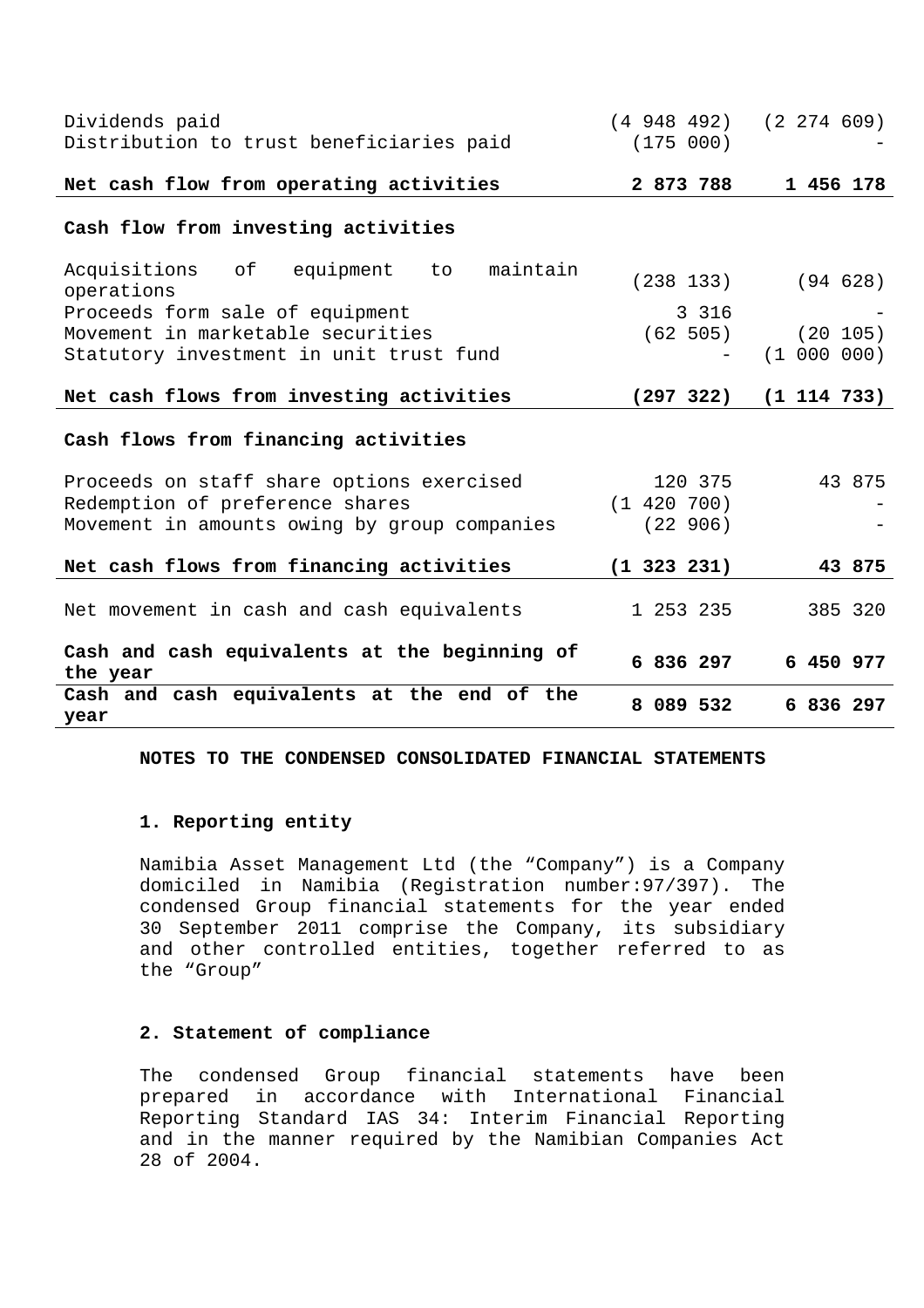| Dividends paid<br>Distribution to trust beneficiaries paid      | $(4\ 948\ 492)$<br>(175 000) | (2 274 609)     |
|-----------------------------------------------------------------|------------------------------|-----------------|
| Net cash flow from operating activities                         | 2 873 788                    | 1 456 178       |
| Cash flow from investing activities                             |                              |                 |
| Acquisitions<br>of<br>equipment<br>maintain<br>to<br>operations | (238 133)                    | (94628)         |
| Proceeds form sale of equipment                                 | 3 3 1 6                      |                 |
| Movement in marketable securities                               | (62 505)                     | (20 105)        |
| Statutory investment in unit trust fund                         |                              | (1 000 000)     |
| Net cash flows from investing activities                        | (297 322)                    | $(1\;114\;733)$ |
| Cash flows from financing activities                            |                              |                 |
| Proceeds on staff share options exercised                       | 120 375                      | 43 875          |
| Redemption of preference shares                                 | (1 420 700)                  |                 |
| Movement in amounts owing by group companies                    | (22906)                      |                 |
| Net cash flows from financing activities                        | $(1\;323\;231)$              | 43 875          |
| Net movement in cash and cash equivalents                       | 1 253 235                    | 385 320         |
| Cash and cash equivalents at the beginning of<br>the year       | 6 836 297                    | 6 450 977       |
| Cash and cash equivalents at the end of the<br>year             | 8 089 532                    | 6 836 297       |

**NOTES TO THE CONDENSED CONSOLIDATED FINANCIAL STATEMENTS** 

#### **1. Reporting entity**

Namibia Asset Management Ltd (the "Company") is a Company domiciled in Namibia (Registration number:97/397). The condensed Group financial statements for the year ended 30 September 2011 comprise the Company, its subsidiary and other controlled entities, together referred to as the "Group"

# **2. Statement of compliance**

The condensed Group financial statements have been prepared in accordance with International Financial Reporting Standard IAS 34: Interim Financial Reporting and in the manner required by the Namibian Companies Act 28 of 2004.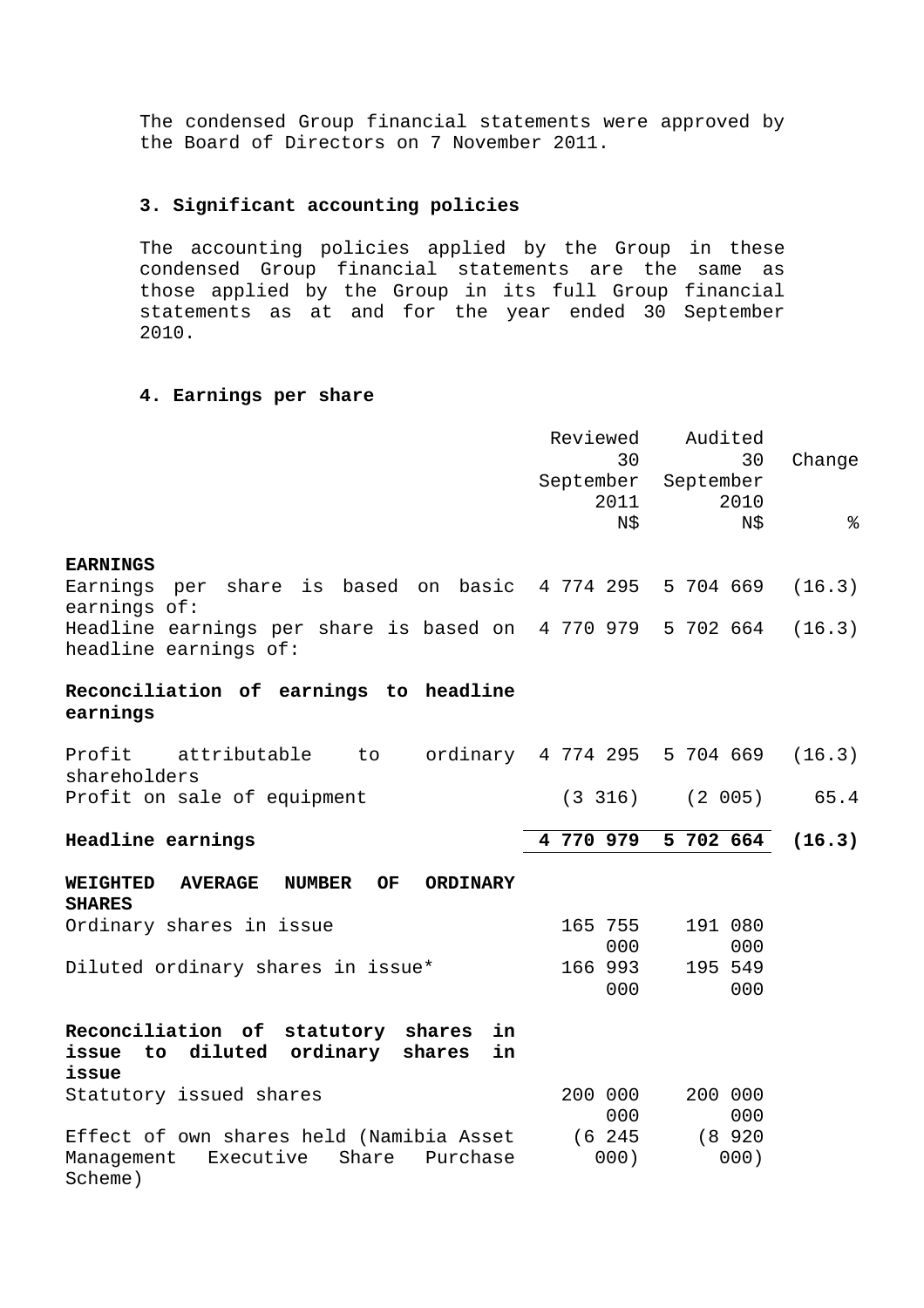The condensed Group financial statements were approved by the Board of Directors on 7 November 2011.

# **3. Significant accounting policies**

The accounting policies applied by the Group in these condensed Group financial statements are the same as those applied by the Group in its full Group financial statements as at and for the year ended 30 September 2010.

#### **4. Earnings per share**

Scheme)

|                                                                                              | Reviewed<br>30<br>2011 | Audited<br>30<br>September September<br>2010 | Change |
|----------------------------------------------------------------------------------------------|------------------------|----------------------------------------------|--------|
|                                                                                              | N\$                    | N\$                                          | နွ     |
| <b>EARNINGS</b>                                                                              |                        |                                              |        |
| Earnings per share is based on basic 4 774 295 5 704 669<br>earnings of:                     |                        |                                              | (16.3) |
| Headline earnings per share is based on  4 770 979  5 702 664<br>headline earnings of:       |                        |                                              | (16.3) |
| Reconciliation of earnings to headline<br>earnings                                           |                        |                                              |        |
| Profit attributable to ordinary 4 774 295 5 704 669<br>shareholders                          |                        |                                              | (16.3) |
| Profit on sale of equipment                                                                  |                        | $(3\;316)$ $(2\;005)$ $65.4$                 |        |
| <b>Headline earnings</b>                                                                     | 4 770 979              | 5 702 664                                    | (16.3) |
| OF<br><b>WEIGHTED</b><br><b>AVERAGE</b><br><b>NUMBER</b><br><b>ORDINARY</b><br><b>SHARES</b> |                        |                                              |        |
| Ordinary shares in issue                                                                     | 165 755<br>000         | 191 080<br>000                               |        |
| Diluted ordinary shares in issue*                                                            | 166 993<br>000         | 195 549<br>000                               |        |
|                                                                                              |                        |                                              |        |

| Reconciliation of statutory shares in        |                 |
|----------------------------------------------|-----------------|
| issue to diluted ordinary shares in<br>issue |                 |
| Statutory issued shares                      | 200 000 200 000 |
|                                              | 000<br>000      |
| Effect of own shares held (Namibia Asset     | (8920<br>6 245  |
| Management Executive Share Purchase          | 000)<br>000)    |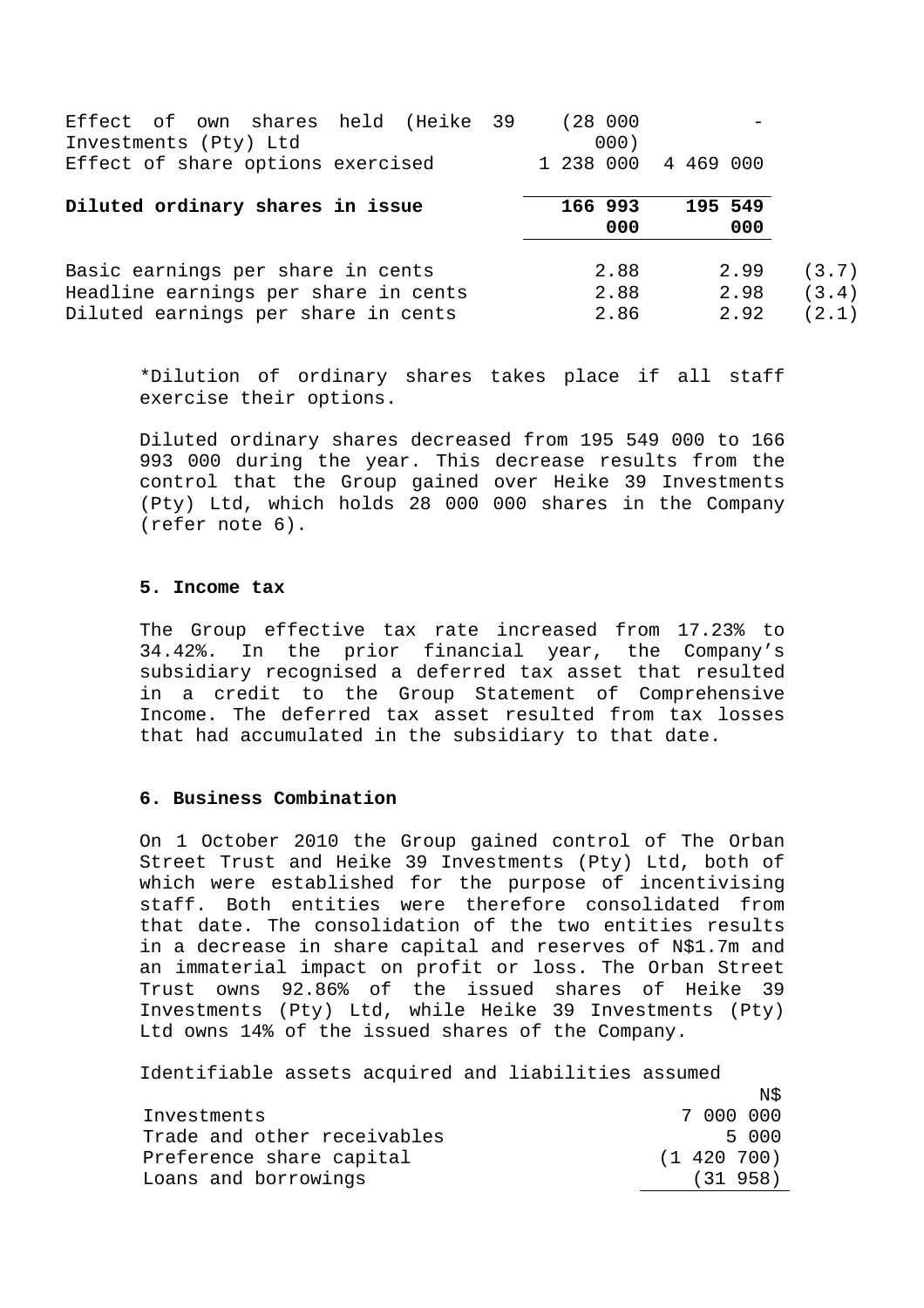| Effect of own shares held (Heike 39<br>Investments (Pty) Ltd                                                     | (28000)<br>000)      |                      |                         |
|------------------------------------------------------------------------------------------------------------------|----------------------|----------------------|-------------------------|
| Effect of share options exercised                                                                                | 1 238 000 4 469 000  |                      |                         |
| Diluted ordinary shares in issue                                                                                 | 166 993<br>000       | 195 549<br>000       |                         |
| Basic earnings per share in cents<br>Headline earnings per share in cents<br>Diluted earnings per share in cents | 2.88<br>2.88<br>2.86 | 2.99<br>2.98<br>2.92 | (3.7)<br>(3.4)<br>(2.1) |

\*Dilution of ordinary shares takes place if all staff exercise their options.

Diluted ordinary shares decreased from 195 549 000 to 166 993 000 during the year. This decrease results from the control that the Group gained over Heike 39 Investments (Pty) Ltd, which holds 28 000 000 shares in the Company (refer note 6).

### **5. Income tax**

The Group effective tax rate increased from 17.23% to 34.42%. In the prior financial year, the Company's subsidiary recognised a deferred tax asset that resulted in a credit to the Group Statement of Comprehensive Income. The deferred tax asset resulted from tax losses that had accumulated in the subsidiary to that date.

#### **6. Business Combination**

On 1 October 2010 the Group gained control of The Orban Street Trust and Heike 39 Investments (Pty) Ltd, both of which were established for the purpose of incentivising staff. Both entities were therefore consolidated from that date. The consolidation of the two entities results in a decrease in share capital and reserves of N\$1.7m and an immaterial impact on profit or loss. The Orban Street Trust owns 92.86% of the issued shares of Heike 39 Investments (Pty) Ltd, while Heike 39 Investments (Pty) Ltd owns 14% of the issued shares of the Company.

Identifiable assets acquired and liabilities assumed

|                             | N\$.            |
|-----------------------------|-----------------|
| Investments                 | 7 000 000       |
| Trade and other receivables | 5000            |
| Preference share capital    | $(1\;420\;700)$ |
| Loans and borrowings        | (31 958)        |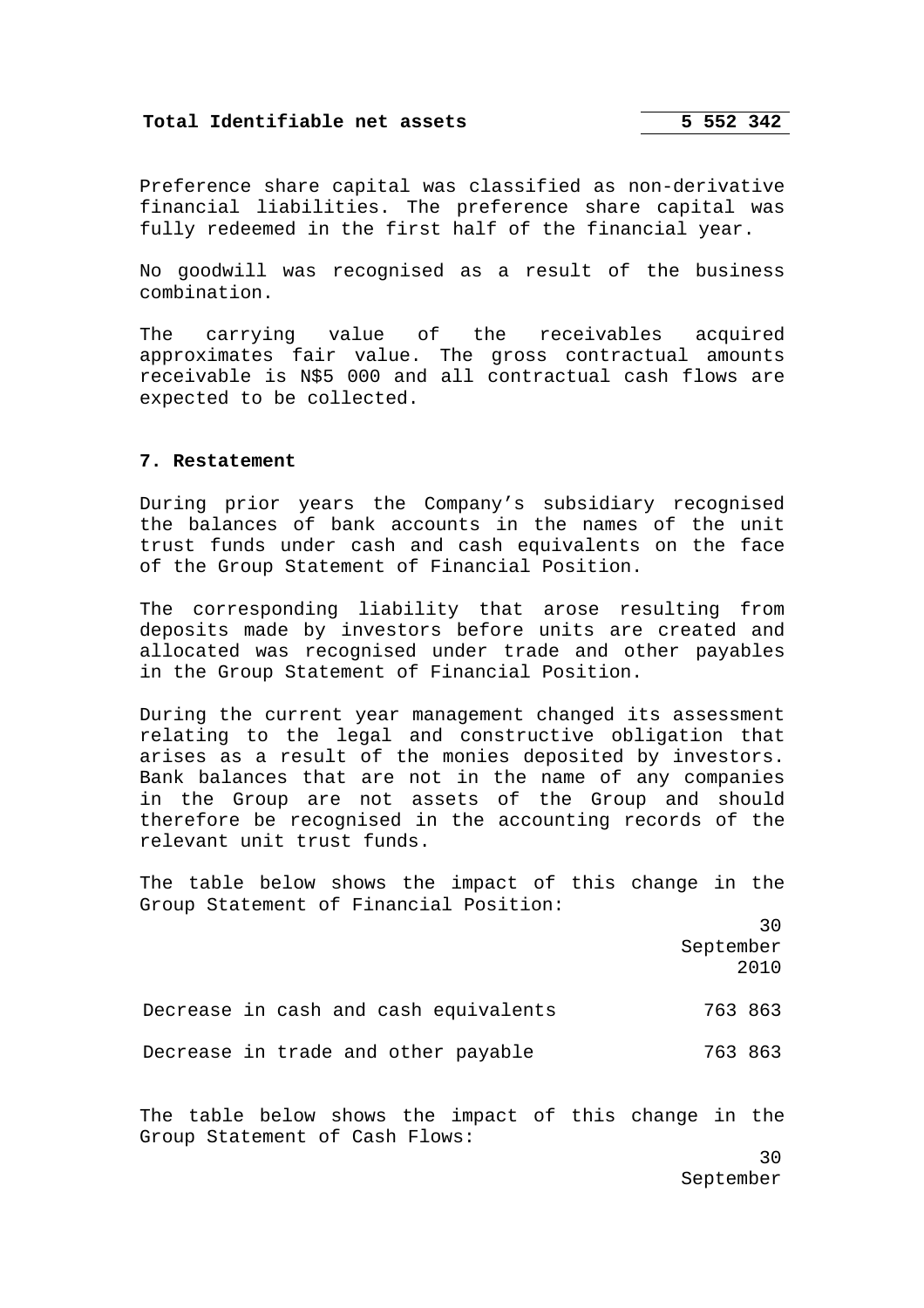# **Total Identifiable net assets 5 552 342**

Preference share capital was classified as non-derivative financial liabilities. The preference share capital was fully redeemed in the first half of the financial year.

No goodwill was recognised as a result of the business combination.

The carrying value of the receivables acquired approximates fair value. The gross contractual amounts receivable is N\$5 000 and all contractual cash flows are expected to be collected.

### **7. Restatement**

During prior years the Company's subsidiary recognised the balances of bank accounts in the names of the unit trust funds under cash and cash equivalents on the face of the Group Statement of Financial Position.

The corresponding liability that arose resulting from deposits made by investors before units are created and allocated was recognised under trade and other payables in the Group Statement of Financial Position.

During the current year management changed its assessment relating to the legal and constructive obligation that arises as a result of the monies deposited by investors. Bank balances that are not in the name of any companies in the Group are not assets of the Group and should therefore be recognised in the accounting records of the relevant unit trust funds.

The table below shows the impact of this change in the Group Statement of Financial Position:

> 30 September 2010

Decrease in cash and cash equivalents 763 863 Decrease in trade and other payable 763 863

The table below shows the impact of this change in the Group Statement of Cash Flows: